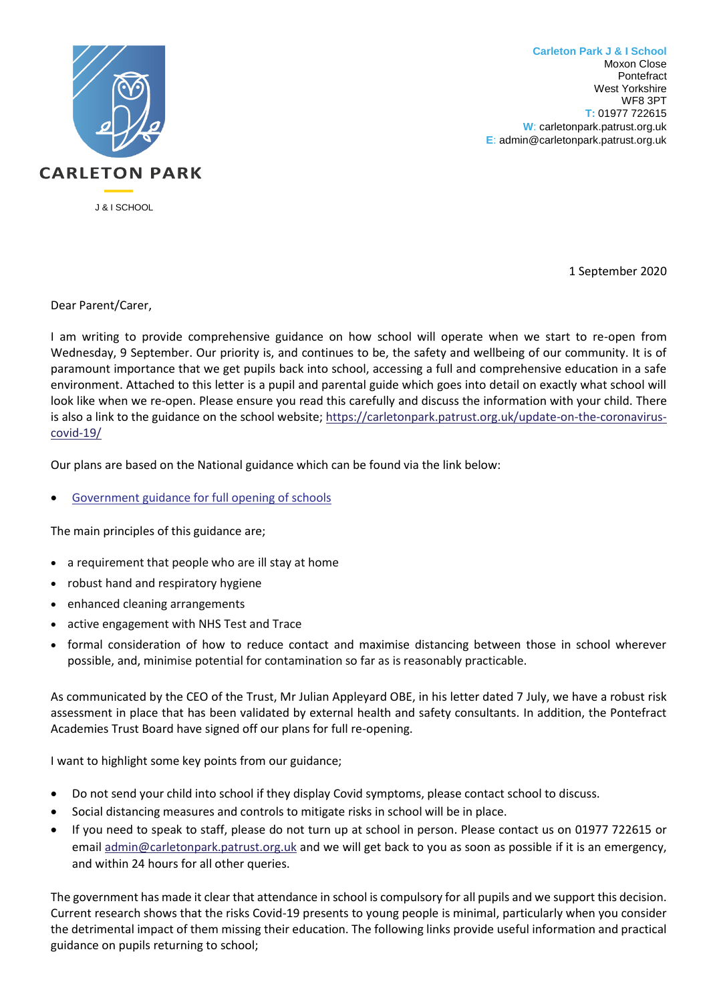

**Carleton Park J & I School** Moxon Close Pontefract West Yorkshire WF8 3PT **T:** 01977 722615 **W**: carletonpark.patrust.org.uk **E**: admin@carletonpark.patrust.org.uk

1 September 2020

Dear Parent/Carer,

I am writing to provide comprehensive guidance on how school will operate when we start to re-open from Wednesday, 9 September. Our priority is, and continues to be, the safety and wellbeing of our community. It is of paramount importance that we get pupils back into school, accessing a full and comprehensive education in a safe environment. Attached to this letter is a pupil and parental guide which goes into detail on exactly what school will look like when we re-open. Please ensure you read this carefully and discuss the information with your child. There is also a link to the guidance on the school website[; https://carletonpark.patrust.org.uk/update-on-the-coronavirus](https://carletonpark.patrust.org.uk/update-on-the-coronavirus-covid-19/)[covid-19/](https://carletonpark.patrust.org.uk/update-on-the-coronavirus-covid-19/)

Our plans are based on the National guidance which can be found via the link below:

[Government guidance for full opening of schools](https://www.gov.uk/government/publications/actions-for-schools-during-the-coronavirus-outbreak/guidance-for-full-opening-schools)

The main principles of this guidance are;

- a requirement that people who are ill stay at home
- robust hand and respiratory hygiene
- enhanced cleaning arrangements
- active engagement with NHS Test and Trace
- formal consideration of how to reduce contact and maximise distancing between those in school wherever possible, and, minimise potential for contamination so far as is reasonably practicable.

As communicated by the CEO of the Trust, Mr Julian Appleyard OBE, in his letter dated 7 July, we have a robust risk assessment in place that has been validated by external health and safety consultants. In addition, the Pontefract Academies Trust Board have signed off our plans for full re-opening.

I want to highlight some key points from our guidance;

- Do not send your child into school if they display Covid symptoms, please contact school to discuss.
- Social distancing measures and controls to mitigate risks in school will be in place.
- If you need to speak to staff, please do not turn up at school in person. Please contact us on 01977 722615 or email [admin@carletonpark.patrust.org.uk](mailto:admin@carletonpark.patrust.org.uk) and we will get back to you as soon as possible if it is an emergency, and within 24 hours for all other queries.

The government has made it clear that attendance in school is compulsory for all pupils and we support this decision. Current research shows that the risks Covid-19 presents to young people is minimal, particularly when you consider the detrimental impact of them missing their education. The following links provide useful information and practical guidance on pupils returning to school;